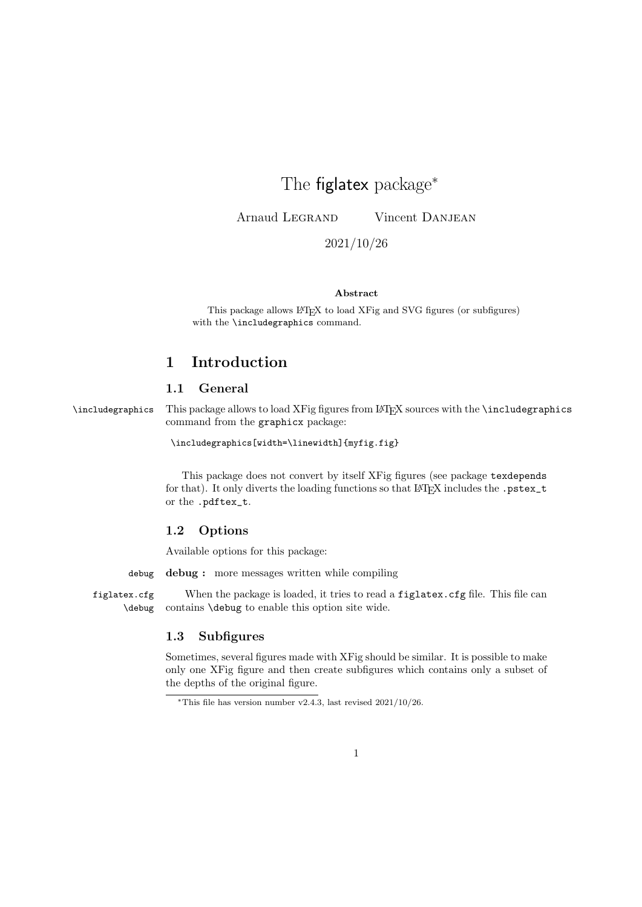## The figlatex package<sup>\*</sup>

Arnaud LEGRAND Vincent DANJEAN

2021/10/26

#### Abstract

This package allows LATEX to load XFig and SVG figures (or subfigures) with the \includegraphics command.

## 1 Introduction

#### 1.1 General

\includegraphics This package allows to load XFig figures from LATEX sources with the \includegraphics command from the graphicx package:

\includegraphics[width=\linewidth]{myfig.fig}

This package does not convert by itself XFig figures (see package texdepends for that). It only diverts the loading functions so that LATEX includes the .pstex\_t or the .pdftex\_t.

#### 1.2 Options

Available options for this package:

debug debug : more messages written while compiling

figlatex.cfg When the package is loaded, it tries to read a figlatex.cfg file. This file can \debug contains \debug to enable this option site wide.

### 1.3 Subfigures

Sometimes, several figures made with XFig should be similar. It is possible to make only one XFig figure and then create subfigures which contains only a subset of the depths of the original figure.

<sup>\*</sup>This file has version number v2.4.3, last revised  $2021/10/26$ .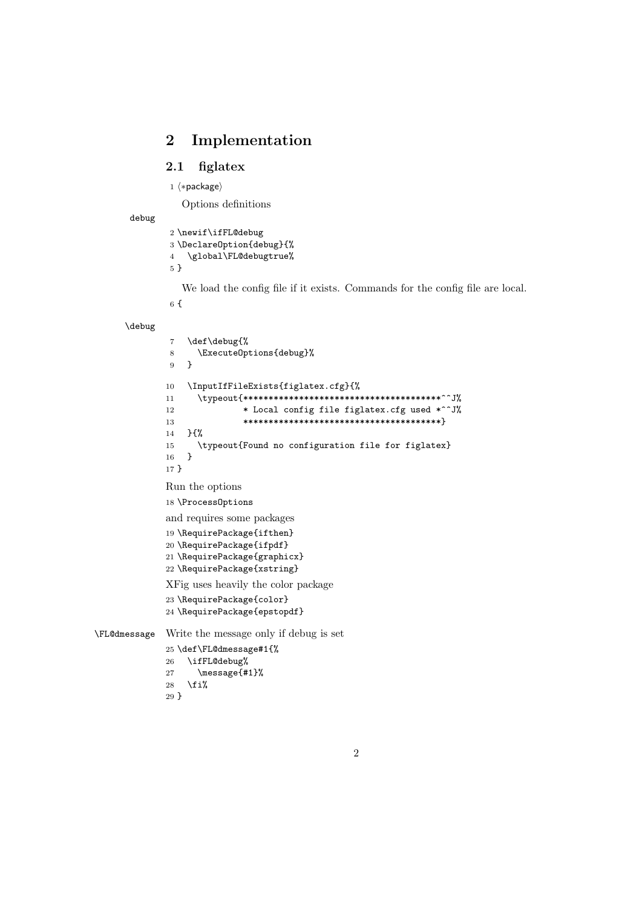## 2 Implementation

## 2.1 figlatex

⟨∗package⟩

Options definitions

```
debug
```
 \newif\ifFL@debug \DeclareOption{debug}{% \global\FL@debugtrue% }

We load the config file if it exists. Commands for the config file are local.

{

\debug

```
7 \def\debug{%
              8 \ExecuteOptions{debug}%
              9 }
             10 \InputIfFileExists{figlatex.cfg}{%
             11 \typeout{***************************************^^J%
             12 * Local config file figlatex.cfg used *^^J%
             13 ***************************************}
             14 }{%
             15 \typeout{Found no configuration file for figlatex}
             16 }
             17 }
             Run the options
             18 \ProcessOptions
             and requires some packages
             19 \RequirePackage{ifthen}
             20 \RequirePackage{ifpdf}
             21 \RequirePackage{graphicx}
             22 \RequirePackage{xstring}
             XFig uses heavily the color package
             23 \RequirePackage{color}
             24 \RequirePackage{epstopdf}
\FL@dmessage Write the message only if debug is set
             25 \def\FL@dmessage#1{%
             26 \ifFL@debug%
             27 \message{#1}%
             28 \fi%
             29 }
```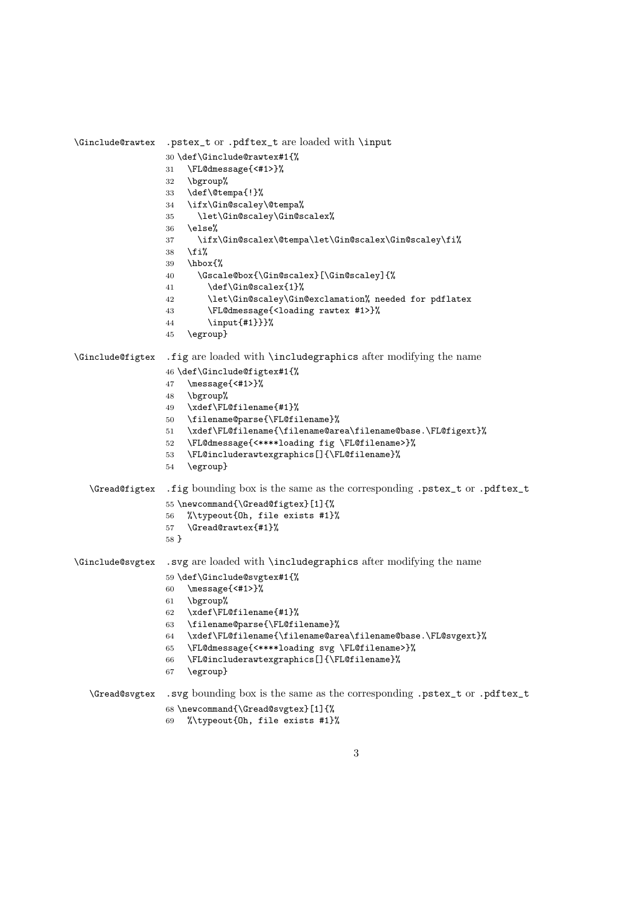```
\Ginclude@rawtex .pstex_t or .pdftex_t are loaded with \input
                 30 \def\Ginclude@rawtex#1{%
                 31 \FL@dmessage{<#1>}%
                 32 \bgroup%
                 33 \def\@tempa{!}%
                 34 \ifx\Gin@scaley\@tempa%
                 35 \let\Gin@scaley\Gin@scalex%
                 36 \else%
                 37 \ifx\Gin@scalex\@tempa\let\Gin@scalex\Gin@scaley\fi%
                 38 \fi%
                 39 \hbox{%
                 40 \Gscale@box{\Gin@scalex}[\Gin@scaley]{%
                 41 \def\Gin@scalex{1}%
                 42 \let\Gin@scaley\Gin@exclamation% needed for pdflatex
                 43 \FL@dmessage{<loading rawtex #1>}%
                 44 \input{#1}}}%
                 45 \egroup}
\Ginclude@figtex .fig are loaded with \includegraphics after modifying the name
                 46 \def\Ginclude@figtex#1{%
                 47 \message{<#1>}%
                 48 \bgroup%
                 49 \xdef\FL@filename{#1}%
                 50 \filename@parse{\FL@filename}%
                 51 \xdef\FL@filename{\filename@area\filename@base.\FL@figext}%
                 52 \FL@dmessage{<****loading fig \FL@filename>}%
                 53 \FL@includerawtexgraphics[]{\FL@filename}%
                 54 \egroup}
   \Gread@figtex .fig bounding box is the same as the corresponding .pstex_t or .pdftex_t
                 55 \newcommand{\Gread@figtex}[1]{%
                 56 %\typeout{Oh, file exists #1}%
                 57 \Gread@rawtex{#1}%
                 58 }
\Ginclude@svgtex .svg are loaded with \includegraphics after modifying the name
                 59 \def\Ginclude@svgtex#1{%
                 60 \message{<#1>}%
                 61 \bgroup%
                 62 \xdef\FL@filename{#1}%
                 63 \filename@parse{\FL@filename}%
                 64 \xdef\FL@filename{\filename@area\filename@base.\FL@svgext}%
                 65 \FL@dmessage{<****loading svg \FL@filename>}%
                 66 \FL@includerawtexgraphics[]{\FL@filename}%
                 67 \egroup}
   \Gread@svgtex .svg bounding box is the same as the corresponding .pstex_t or .pdftex_t
                 68 \newcommand{\Gread@svgtex}[1]{%
                 69 %\typeout{Oh, file exists #1}%
```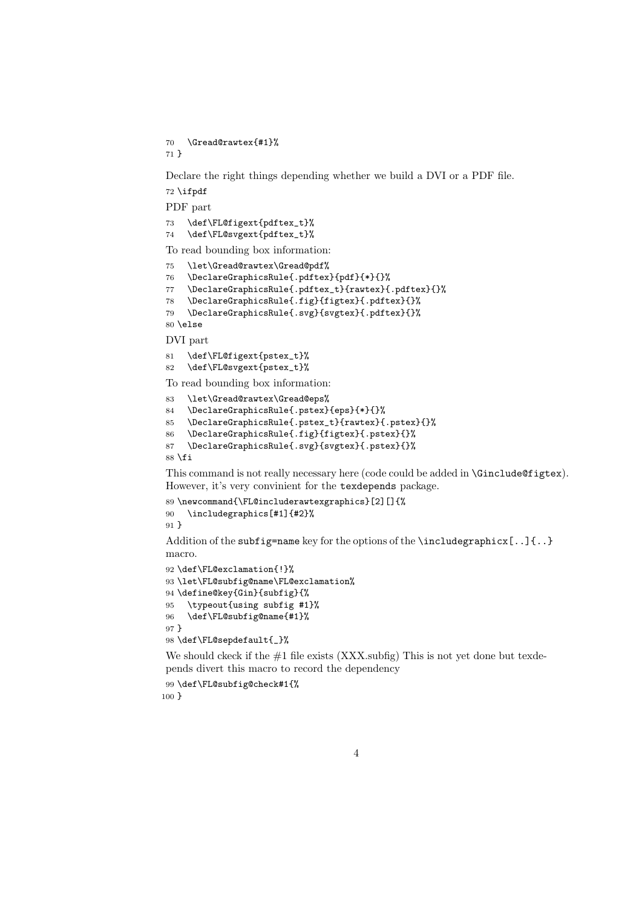\Gread@rawtex{#1}% }

Declare the right things depending whether we build a DVI or a PDF file.

72  $\if{pdf}$ 

PDF part

\def\FL@figext{pdftex\_t}%

\def\FL@svgext{pdftex\_t}%

To read bounding box information:

```
75 \let\Gread@rawtex\Gread@pdf%
```

```
76 \DeclareGraphicsRule{.pdftex}{pdf}{*}{}%
```
\DeclareGraphicsRule{.pdftex\_t}{rawtex}{.pdftex}{}%

```
78 \DeclareGraphicsRule{.fig}{figtex}{.pdftex}{}%
```

```
79 \DeclareGraphicsRule{.svg}{svgtex}{.pdftex}{}%
```
\else

DVI part

```
81 \def\FL@figext{pstex_t}%
```
\def\FL@svgext{pstex\_t}%

To read bounding box information:

```
83 \let\Gread@rawtex\Gread@eps%
```

```
84 \DeclareGraphicsRule{.pstex}{eps}{*}{}%
```
\DeclareGraphicsRule{.pstex\_t}{rawtex}{.pstex}{}%

```
86 \DeclareGraphicsRule{.fig}{figtex}{.pstex}{}%
```
\DeclareGraphicsRule{.svg}{svgtex}{.pstex}{}%

```
88 \fi
```
This command is not really necessary here (code could be added in \Ginclude@figtex). However, it's very convinient for the texdepends package.

```
89 \newcommand{\FL@includerawtexgraphics}[2][]{%
90 \includegraphics[#1]{#2}%
91 }
```
Addition of the subfig=name key for the options of the \includegraphicx[..]{..} macro.

```
92 \def\FL@exclamation{!}%
93 \let\FL@subfig@name\FL@exclamation%
94 \define@key{Gin}{subfig}{%
95 \typeout{using subfig #1}%
96 \def\FL@subfig@name{#1}%
97 }
98 \def\FL@sepdefault{_}%
```
We should ckeck if the  $#1$  file exists  $(XXX.\text{subfig})$  This is not yet done but texdepends divert this macro to record the dependency

```
99 \def\FL@subfig@check#1{%
100 }
```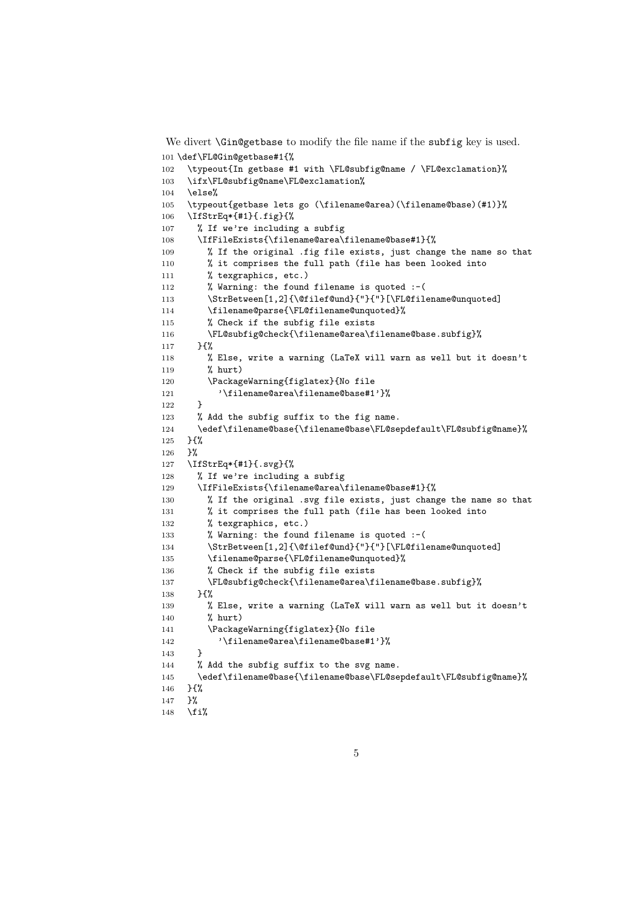We divert **\Gin@getbase** to modify the file name if the subfig key is used. \def\FL@Gin@getbase#1{%

```
102 \typeout{In getbase #1 with \FL@subfig@name / \FL@exclamation}%
103 \ifx\FL@subfig@name\FL@exclamation%
104 \else%
105 \typeout{getbase lets go (\filename@area)(\filename@base)(#1)}%
106 \IfStrEq*{#1}{.fig}{%
107 % If we're including a subfig
108 \IfFileExists{\filename@area\filename@base#1}{%
109 % If the original .fig file exists, just change the name so that
110 % it comprises the full path (file has been looked into
111 % texgraphics, etc.)
112 % Warning: the found filename is quoted :-(
113 \StrBetween[1,2]{\@filef@und}{"}{"}[\FL@filename@unquoted]
114 \filename@parse{\FL@filename@unquoted}%
115 % Check if the subfig file exists
116 \FL@subfig@check{\filename@area\filename@base.subfig}%
117 }\{%
118 % Else, write a warning (LaTeX will warn as well but it doesn't
119 % hurt)
120 \PackageWarning{figlatex}{No file
121 '\filename@area\filename@base#1'}%
122 }
123 % Add the subfig suffix to the fig name.
124 \edef\filename@base{\filename@base\FL@sepdefault\FL@subfig@name}%
125 }{%
126 }%
127 \IfStrEq*{#1}{.svg}{%
128 % If we're including a subfig
129 \IfFileExists{\filename@area\filename@base#1}{%
130 % If the original .svg file exists, just change the name so that
131 % it comprises the full path (file has been looked into
132 % texgraphics, etc.)
133 % Warning: the found filename is quoted :-(
134 \StrBetween[1,2]{\@filef@und}{"}{"}[\FL@filename@unquoted]
135 \filename@parse{\FL@filename@unquoted}%
136 % Check if the subfig file exists
137 \FL@subfig@check{\filename@area\filename@base.subfig}%
138 }{%
139 % Else, write a warning (LaTeX will warn as well but it doesn't
140 % hurt)
141 \PackageWarning{figlatex}{No file
142 '\filename@area\filename@base#1'}%
143 }
144 % Add the subfig suffix to the svg name.
145 \edef\filename@base{\filename@base\FL@sepdefault\FL@subfig@name}%
146 }{%
147 }%
```

```
148 \overline{148}
```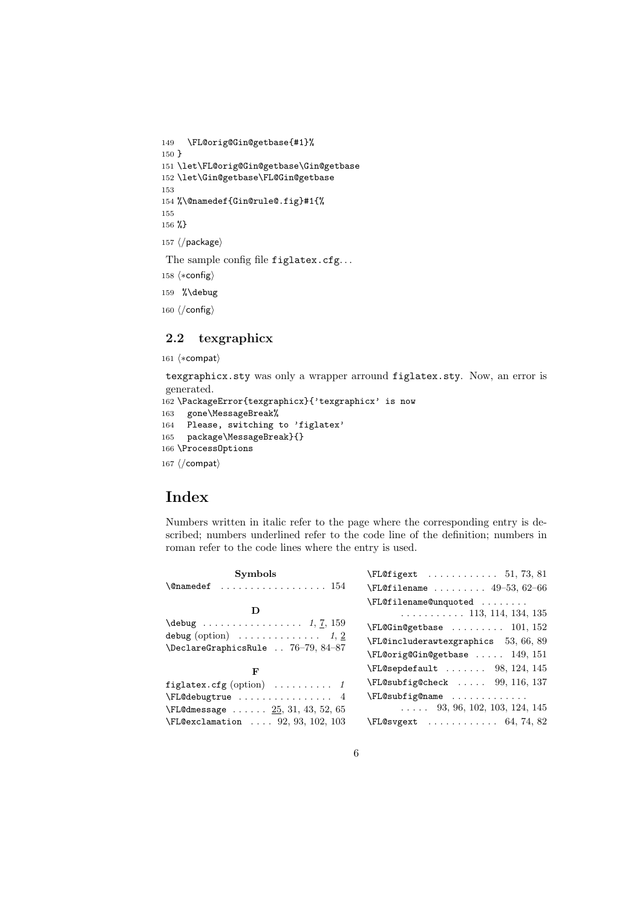```
149 \FL@orig@Gin@getbase{#1}%
150 }
151 \let\FL@orig@Gin@getbase\Gin@getbase
152 \let\Gin@getbase\FL@Gin@getbase
153
154 %\@namedef{Gin@rule@.fig}#1{%
155
156 %}
157 ⟨/package⟩
The sample config file figlatex.cfg...
158 ⟨∗config⟩
```
159 %\debug

```
160 ⟨/config⟩
```
## 2.2 texgraphicx

161 ⟨∗compat⟩

texgraphicx.sty was only a wrapper arround figlatex.sty. Now, an error is generated. 162 \PackageError{texgraphicx}{'texgraphicx' is now 163 gone\MessageBreak% 164 Please, switching to 'figlatex'

```
165 package\MessageBreak}{}
166 \ProcessOptions
```

```
167 ⟨/compat⟩
```
## Index

Numbers written in italic refer to the page where the corresponding entry is described; numbers underlined refer to the code line of the definition; numbers in roman refer to the code lines where the entry is used.

| Symbols                                                                                        | $\left\{\text{FL@figext } \ldots \ldots \ldots \quad 51, 73, 81\right\}$                                                                                                                         |
|------------------------------------------------------------------------------------------------|--------------------------------------------------------------------------------------------------------------------------------------------------------------------------------------------------|
| $\{\Omega$ namedef  154                                                                        | $\text{FL@filename} \dots \dots \dots \ 49-53, 62-66$                                                                                                                                            |
| debug (option) $\ldots \ldots \ldots \ldots \ldots$ 1, 2<br>\DeclareGraphicsRule  76-79, 84-87 | \FL@filename@unquoted<br>$\ldots \ldots \ldots \ldots 113, 114, 134, 135$<br>$\text{FEQGin@getbase}$ 101, 152<br>$\text{FEQ}$ includerawtexgraphics 53, 66, 89<br>\FL@orig@Gin@getbase  149, 151 |
| F                                                                                              | $\text{FEQsepedefault} \dots \dots \ 98, 124, 145$                                                                                                                                               |
| figlatex.cfg (option) $\ldots \ldots \ldots$ 1                                                 | $\FL@subfig@check$ $99, 116, 137$                                                                                                                                                                |
| $\FL$ @debugtrue  4                                                                            | \FL@subfig@name                                                                                                                                                                                  |
| $\F1$ @dmessage  25, 31, 43, 52, 65                                                            | $\ldots$ 93, 96, 102, 103, 124, 145                                                                                                                                                              |
| $\text{FE@exclamation} \dots 92, 93, 102, 103$                                                 | $\textsf{FLSvgext}$ 64, 74, 82                                                                                                                                                                   |